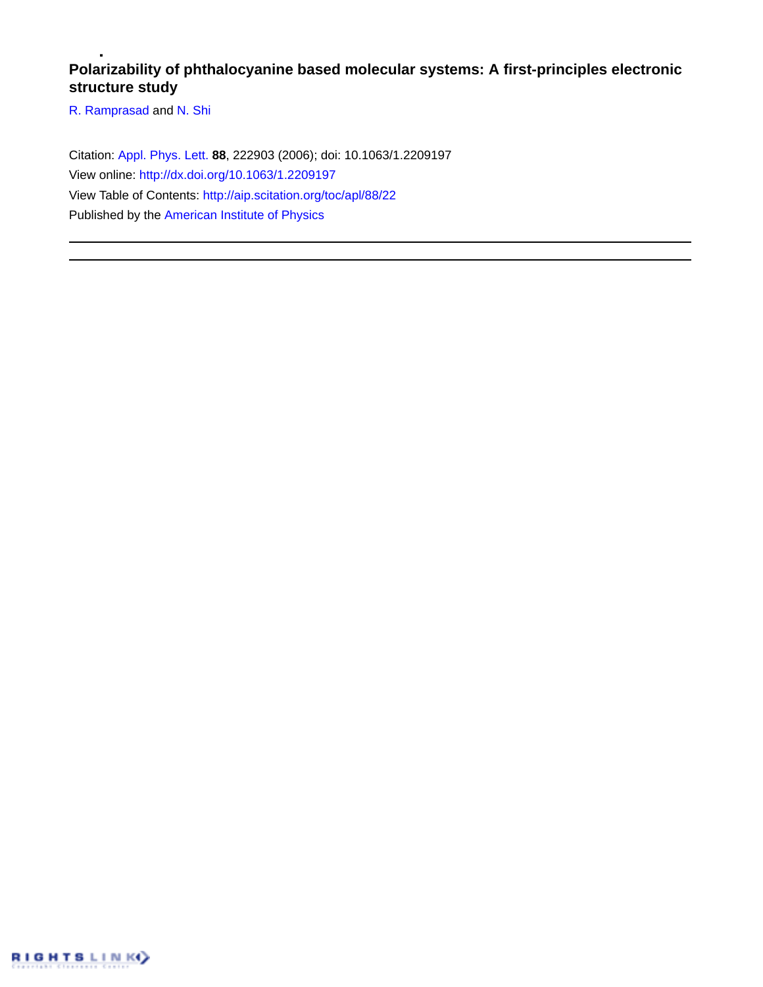## **Polarizability of phthalocyanine based molecular systems: A first-principles electronic structure study**

[R. Ramprasad](http://aip.scitation.org/author/Ramprasad%2C+R) and [N. Shi](http://aip.scitation.org/author/Shi%2C+N)

Citation: [Appl. Phys. Lett.](/loi/apl) **88**, 222903 (2006); doi: 10.1063/1.2209197 View online: <http://dx.doi.org/10.1063/1.2209197> View Table of Contents: <http://aip.scitation.org/toc/apl/88/22> Published by the [American Institute of Physics](http://aip.scitation.org/publisher/)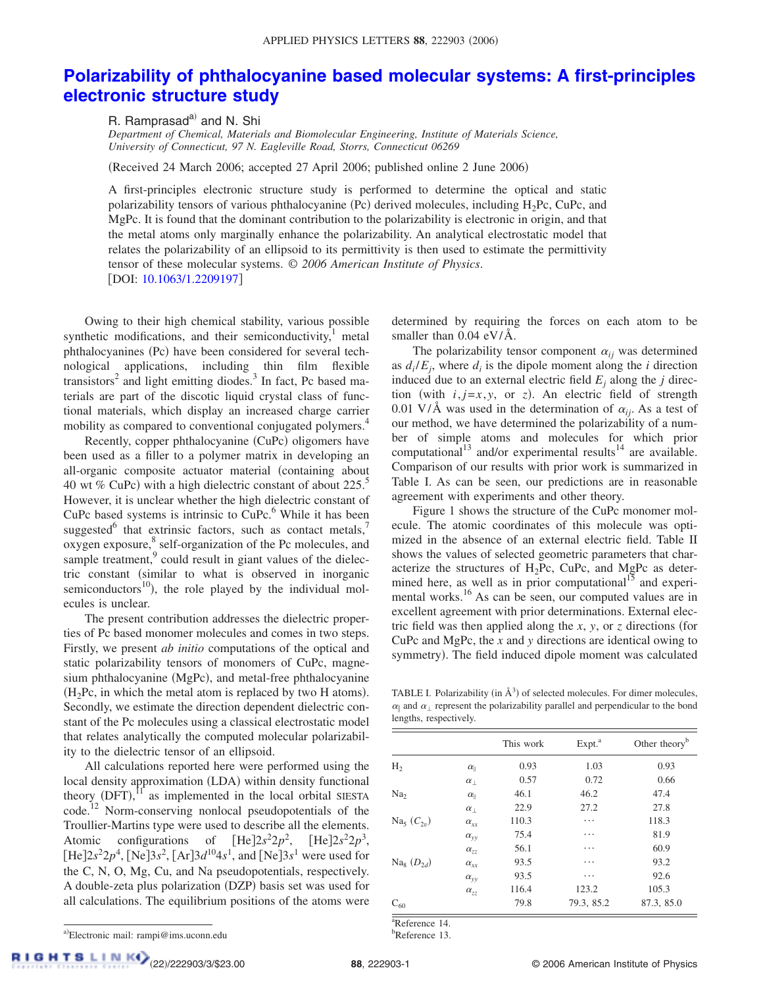## **[Polarizability of phthalocyanine based molecular systems: A first-principles](http://dx.doi.org/10.1063/1.2209197) [electronic structure study](http://dx.doi.org/10.1063/1.2209197)**

R. Ramprasad<sup>a)</sup> and N. Shi

*Department of Chemical, Materials and Biomolecular Engineering, Institute of Materials Science, University of Connecticut, 97 N. Eagleville Road, Storrs, Connecticut 06269*

(Received 24 March 2006; accepted 27 April 2006; published online 2 June 2006)

A first-principles electronic structure study is performed to determine the optical and static polarizability tensors of various phthalocyanine (Pc) derived molecules, including H<sub>2</sub>Pc, CuPc, and MgPc. It is found that the dominant contribution to the polarizability is electronic in origin, and that the metal atoms only marginally enhance the polarizability. An analytical electrostatic model that relates the polarizability of an ellipsoid to its permittivity is then used to estimate the permittivity tensor of these molecular systems. © *2006 American Institute of Physics*. [DOI: [10.1063/1.2209197](http://dx.doi.org/10.1063/1.2209197)]

Owing to their high chemical stability, various possible synthetic modifications, and their semiconductivity, $\frac{1}{1}$  metal phthalocyanines (Pc) have been considered for several technological applications, including thin film flexible transistors<sup>2</sup> and light emitting diodes.<sup>3</sup> In fact, Pc based materials are part of the discotic liquid crystal class of functional materials, which display an increased charge carrier mobility as compared to conventional conjugated polymers.<sup>4</sup>

Recently, copper phthalocyanine (CuPc) oligomers have been used as a filler to a polymer matrix in developing an all-organic composite actuator material (containing about 40 wt % CuPc) with a high dielectric constant of about  $225$ .<sup>5</sup> However, it is unclear whether the high dielectric constant of CuPc based systems is intrinsic to  $CuPc$ .<sup>6</sup> While it has been suggested $^6$  that extrinsic factors, such as contact metals, oxygen exposure, <sup>8</sup> self-organization of the Pc molecules, and sample treatment,<sup>9</sup> could result in giant values of the dielectric constant (similar to what is observed in inorganic semiconductors<sup>10</sup>), the role played by the individual molecules is unclear.

The present contribution addresses the dielectric properties of Pc based monomer molecules and comes in two steps. Firstly, we present *ab initio* computations of the optical and static polarizability tensors of monomers of CuPc, magnesium phthalocyanine (MgPc), and metal-free phthalocyanine  $(H<sub>2</sub>$ Pc, in which the metal atom is replaced by two H atoms). Secondly, we estimate the direction dependent dielectric constant of the Pc molecules using a classical electrostatic model that relates analytically the computed molecular polarizability to the dielectric tensor of an ellipsoid.

All calculations reported here were performed using the local density approximation (LDA) within density functional theory  $(DFT)$ ,  $^{11}$  as implemented in the local orbital SIESTA code.<sup>12</sup> Norm-conserving nonlocal pseudopotentials of the Troullier-Martins type were used to describe all the elements. Atomic configurations of  $[He]2s^22p^2$ ,  $[He]2s^22p^3$ ,  $[He]2s^22p^4$ ,  $[Ne]3s^2$ ,  $[Ar]3d^{10}4s^1$ , and  $[Ne]3s^1$  were used for the C, N, O, Mg, Cu, and Na pseudopotentials, respectively. A double-zeta plus polarization (DZP) basis set was used for all calculations. The equilibrium positions of the atoms were determined by requiring the forces on each atom to be smaller than 0.04 eV/Å.

The polarizability tensor component  $\alpha_{ij}$  was determined as  $d_i/E_i$ , where  $d_i$  is the dipole moment along the *i* direction induced due to an external electric field  $E_i$  along the *j* direction (with  $i, j=x, y$ , or *z*). An electric field of strength 0.01 V/Å was used in the determination of  $\alpha_{ij}$ . As a test of our method, we have determined the polarizability of a number of simple atoms and molecules for which prior computational<sup>13</sup> and/or experimental results<sup>14</sup> are available. Comparison of our results with prior work is summarized in Table I. As can be seen, our predictions are in reasonable agreement with experiments and other theory.

Figure 1 shows the structure of the CuPc monomer molecule. The atomic coordinates of this molecule was optimized in the absence of an external electric field. Table II shows the values of selected geometric parameters that characterize the structures of  $H_2$ Pc, CuPc, and MgPc as determined here, as well as in prior computational<sup>15</sup> and experimental works.<sup>16</sup> As can be seen, our computed values are in excellent agreement with prior determinations. External electric field was then applied along the  $x$ ,  $y$ , or  $z$  directions (for CuPc and MgPc, the *x* and *y* directions are identical owing to symmetry). The field induced dipole moment was calculated

TABLE I. Polarizability (in  $\AA^3$ ) of selected molecules. For dimer molecules,  $\alpha_{\parallel}$  and  $\alpha_{\perp}$  represent the polarizability parallel and perpendicular to the bond lengths, respectively.

|                          |                      | This work | Expt. <sup>a</sup> | Other theory <sup>b</sup> |
|--------------------------|----------------------|-----------|--------------------|---------------------------|
| H <sub>2</sub>           | $\alpha_{\parallel}$ | 0.93      | 1.03               | 0.93                      |
|                          | $\alpha_{\perp}$     | 0.57      | 0.72               | 0.66                      |
| Na <sub>2</sub>          | $\alpha_{\parallel}$ | 46.1      | 46.2               | 47.4                      |
|                          | $\alpha_{\perp}$     | 22.9      | 27.2               | 27.8                      |
| $\text{Na}_5(C_{2n})$    | $\alpha_{xx}$        | 110.3     | .                  | 118.3                     |
|                          | $\alpha_{\rm vv}$    | 75.4      | .                  | 81.9                      |
|                          | $\alpha_{77}$        | 56.1      | .                  | 60.9                      |
| $\text{Na}_8$ $(D_{2d})$ | $\alpha_{xx}$        | 93.5      | .                  | 93.2                      |
|                          | $\alpha_{\rm vv}$    | 93.5      | .                  | 92.6                      |
|                          | $\alpha_{zz}$        | 116.4     | 123.2              | 105.3                     |
| $C_{60}$                 |                      | 79.8      | 79.3, 85.2         | 87.3, 85.0                |

<sup>a</sup>Reference 14.

b Reference 13.

a)Electronic mail: rampi@ims.uconn.edu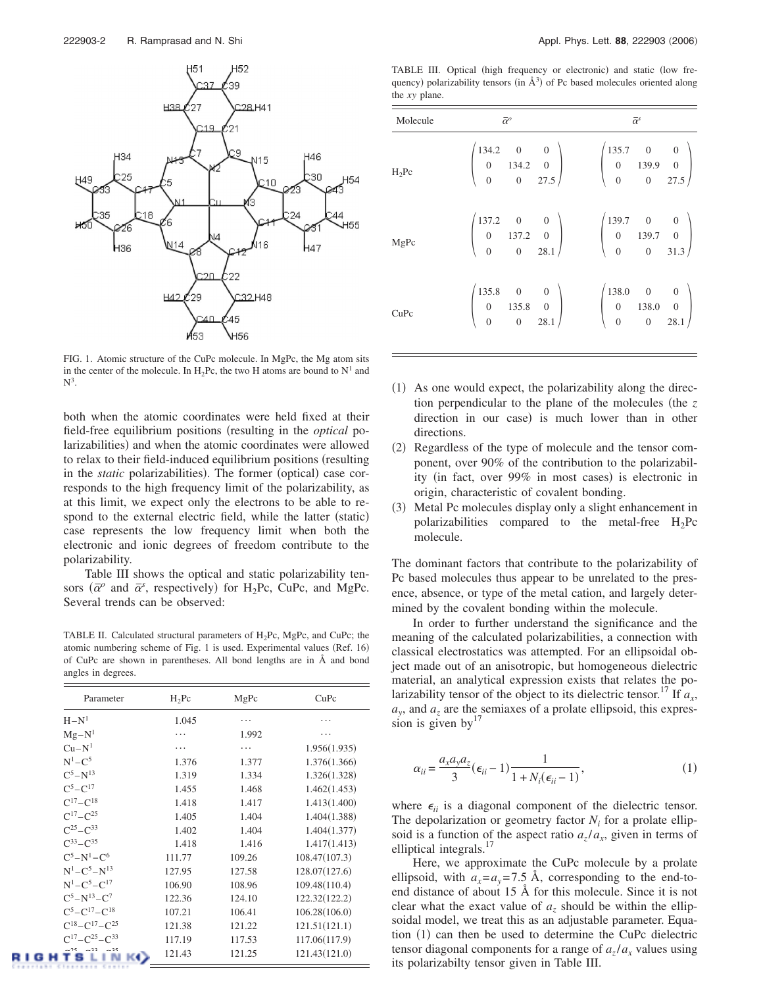

FIG. 1. Atomic structure of the CuPc molecule. In MgPc, the Mg atom sits in the center of the molecule. In H<sub>2</sub>Pc, the two H atoms are bound to  $N^1$  and  $\mathrm{N}^3.$ 

both when the atomic coordinates were held fixed at their field-free equilibrium positions (resulting in the *optical* polarizabilities) and when the atomic coordinates were allowed to relax to their field-induced equilibrium positions (resulting in the *static* polarizabilities). The former (optical) case corresponds to the high frequency limit of the polarizability, as at this limit, we expect only the electrons to be able to respond to the external electric field, while the latter (static) case represents the low frequency limit when both the electronic and ionic degrees of freedom contribute to the polarizability.

Table III shows the optical and static polarizability tensors  $(\bar{\alpha}^o)$  and  $\bar{\alpha}^s$ , respectively) for H<sub>2</sub>Pc, CuPc, and MgPc. Several trends can be observed:

TABLE II. Calculated structural parameters of  $H_2Pc$ , MgPc, and CuPc; the atomic numbering scheme of Fig. 1 is used. Experimental values (Ref. 16) of CuPc are shown in parentheses. All bond lengths are in Å and bond angles in degrees.

| Parameter                  | $H_2Pc$ | MgPc   | CuPc          |
|----------------------------|---------|--------|---------------|
| $H - N1$                   | 1.045   |        |               |
| $Mg-N^1$                   | .       | 1.992  | .             |
| $Cu-N1$                    | .       | .      | 1.956(1.935)  |
| $N^1 - C^5$                | 1.376   | 1.377  | 1.376(1.366)  |
| $C^5 - N^{13}$             | 1.319   | 1.334  | 1.326(1.328)  |
| $C^5 - C^{17}$             | 1.455   | 1.468  | 1.462(1.453)  |
| $C^{17}-C^{18}$            | 1.418   | 1.417  | 1.413(1.400)  |
| $C^{17}-C^{25}$            | 1.405   | 1.404  | 1.404(1.388)  |
| $C^{25} - C^{33}$          | 1.402   | 1.404  | 1.404(1.377)  |
| $C^{33} - C^{35}$          | 1.418   | 1.416  | 1.417(1.413)  |
| $C^5 - N^1 - C^6$          | 111.77  | 109.26 | 108.47(107.3) |
| $N^1 - C^5 - N^{13}$       | 127.95  | 127.58 | 128.07(127.6) |
| $N^1 - C^5 - C^{17}$       | 106.90  | 108.96 | 109.48(110.4) |
| $C^5 - N^{13} - C^7$       | 122.36  | 124.10 | 122.32(122.2) |
| $C^5 - C^{17} - C^{18}$    | 107.21  | 106.41 | 106.28(106.0) |
| $C^{18}-C^{17}-C^{25}$     | 121.38  | 121.22 | 121.51(121.1) |
| $C^{17} - C^{25} - C^{33}$ | 117.19  | 117.53 | 117.06(117.9) |
| 8 L I N                    | 121.43  | 121.25 | 121.43(121.0) |

TABLE III. Optical (high frequency or electronic) and static (low frequency) polarizability tensors (in  $\AA$ <sup>3</sup>) of Pc based molecules oriented along the *xy* plane.

| Molecule | $\bar{\alpha}^o$                                                                                                                                                         | $\bar{\alpha}^s$ |
|----------|--------------------------------------------------------------------------------------------------------------------------------------------------------------------------|------------------|
| $H_2Pc$  | $\begin{pmatrix} 134.2 & 0 & 0 \\ 0 & 134.2 & 0 \\ 0 & 0 & 27.5 \end{pmatrix}$ $\begin{pmatrix} 135.7 & 0 & 0 \\ 0 & 139.9 & 0 \\ 0 & 0 & 27.5 \end{pmatrix}$            |                  |
| MgPc     | $\begin{pmatrix} 137.2 & 0 & 0 \\ 0 & 137.2 & 0 \\ 0 & 0 & 28.1 \end{pmatrix}$ $\begin{pmatrix} 139.7 & 0 & 0 \\ 0 & 139.7 & 0 \\ 0 & 0 & 31.3 \end{pmatrix}$            |                  |
| CuPc     | $\begin{pmatrix} 135.8 & 0 & 0 \\ 0 & 135.8 & 0 \\ 0 & 0 & 28.1 \end{pmatrix} \hspace{1cm} \begin{pmatrix} 138.0 & 0 & 0 \\ 0 & 138.0 & 0 \\ 0 & 0 & 28.1 \end{pmatrix}$ |                  |

- (1) As one would expect, the polarizability along the direction perpendicular to the plane of the molecules (the *z* direction in our case) is much lower than in other directions.
- (2) Regardless of the type of molecule and the tensor component, over 90% of the contribution to the polarizability (in fact, over 99% in most cases) is electronic in origin, characteristic of covalent bonding.
- (3) Metal Pc molecules display only a slight enhancement in polarizabilities compared to the metal-free  $H<sub>2</sub>PC$ molecule.

The dominant factors that contribute to the polarizability of Pc based molecules thus appear to be unrelated to the presence, absence, or type of the metal cation, and largely determined by the covalent bonding within the molecule.

In order to further understand the significance and the meaning of the calculated polarizabilities, a connection with classical electrostatics was attempted. For an ellipsoidal object made out of an anisotropic, but homogeneous dielectric material, an analytical expression exists that relates the polarizability tensor of the object to its dielectric tensor.<sup>17</sup> If  $a_x$ ,  $a_{\nu}$ , and  $a_{\nu}$  are the semiaxes of a prolate ellipsoid, this expression is given by  $17$ 

$$
\alpha_{ii} = \frac{a_x a_y a_z}{3} (\epsilon_{ii} - 1) \frac{1}{1 + N_i(\epsilon_{ii} - 1)},\tag{1}
$$

where  $\epsilon_{ii}$  is a diagonal component of the dielectric tensor. The depolarization or geometry factor  $N_i$  for a prolate ellipsoid is a function of the aspect ratio  $a_z/a_x$ , given in terms of elliptical integrals.<sup>17</sup>

Here, we approximate the CuPc molecule by a prolate ellipsoid, with  $a_x = a_y = 7.5$  Å, corresponding to the end-toend distance of about 15 Å for this molecule. Since it is not clear what the exact value of  $a<sub>z</sub>$  should be within the ellipsoidal model, we treat this as an adjustable parameter. Equation (1) can then be used to determine the CuPc dielectric tensor diagonal components for a range of  $a_7/a_x$  values using its polarizabilty tensor given in Table III.